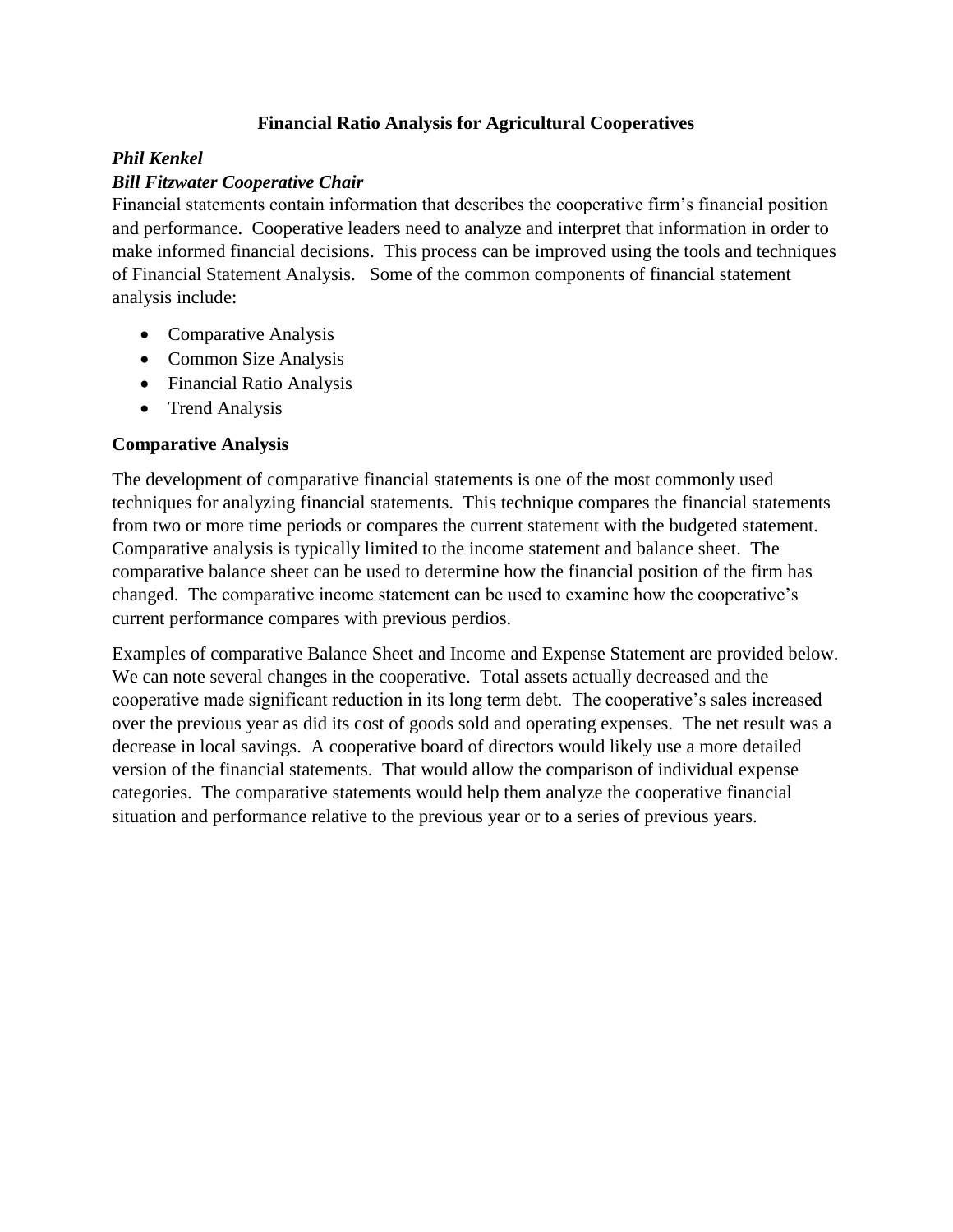## **Financial Ratio Analysis for Agricultural Cooperatives**

## *Phil Kenkel*

## *Bill Fitzwater Cooperative Chair*

Financial statements contain information that describes the cooperative firm's financial position and performance. Cooperative leaders need to analyze and interpret that information in order to make informed financial decisions. This process can be improved using the tools and techniques of Financial Statement Analysis. Some of the common components of financial statement analysis include:

- Comparative Analysis
- Common Size Analysis
- Financial Ratio Analysis
- Trend Analysis

## **Comparative Analysis**

The development of comparative financial statements is one of the most commonly used techniques for analyzing financial statements. This technique compares the financial statements from two or more time periods or compares the current statement with the budgeted statement. Comparative analysis is typically limited to the income statement and balance sheet. The comparative balance sheet can be used to determine how the financial position of the firm has changed. The comparative income statement can be used to examine how the cooperative's current performance compares with previous perdios.

Examples of comparative Balance Sheet and Income and Expense Statement are provided below. We can note several changes in the cooperative. Total assets actually decreased and the cooperative made significant reduction in its long term debt. The cooperative's sales increased over the previous year as did its cost of goods sold and operating expenses. The net result was a decrease in local savings. A cooperative board of directors would likely use a more detailed version of the financial statements. That would allow the comparison of individual expense categories. The comparative statements would help them analyze the cooperative financial situation and performance relative to the previous year or to a series of previous years.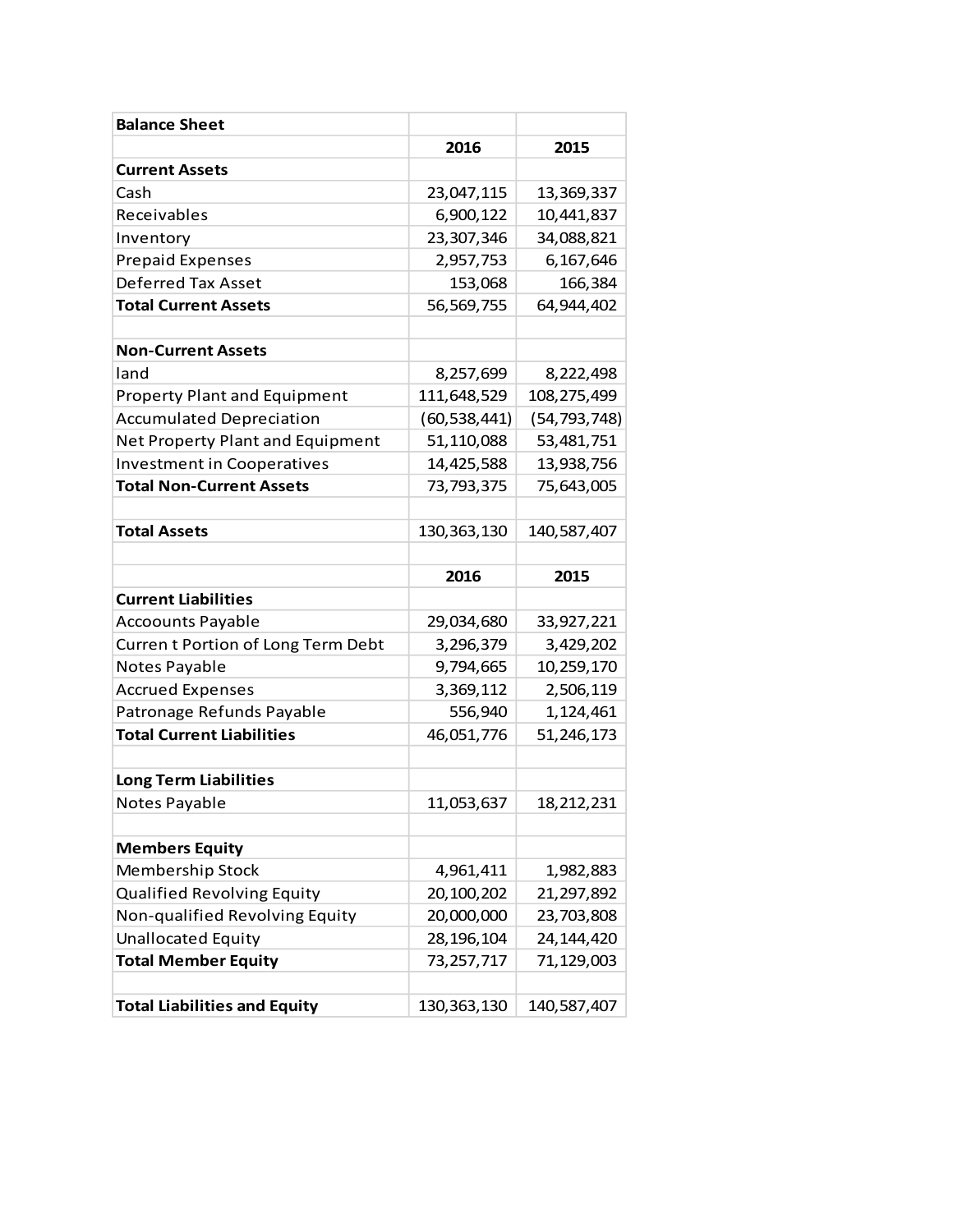| <b>Balance Sheet</b>                |                |                |
|-------------------------------------|----------------|----------------|
|                                     | 2016           | 2015           |
| <b>Current Assets</b>               |                |                |
| Cash                                | 23,047,115     | 13,369,337     |
| Receivables                         | 6,900,122      | 10,441,837     |
| Inventory                           | 23,307,346     | 34,088,821     |
| <b>Prepaid Expenses</b>             | 2,957,753      | 6,167,646      |
| <b>Deferred Tax Asset</b>           | 153,068        | 166,384        |
| <b>Total Current Assets</b>         | 56,569,755     | 64,944,402     |
|                                     |                |                |
| <b>Non-Current Assets</b>           |                |                |
| land                                | 8,257,699      | 8,222,498      |
| <b>Property Plant and Equipment</b> | 111,648,529    | 108,275,499    |
| <b>Accumulated Depreciation</b>     | (60, 538, 441) | (54, 793, 748) |
| Net Property Plant and Equipment    | 51,110,088     | 53,481,751     |
| <b>Investment in Cooperatives</b>   | 14,425,588     | 13,938,756     |
| <b>Total Non-Current Assets</b>     | 73,793,375     | 75,643,005     |
|                                     |                |                |
| <b>Total Assets</b>                 | 130, 363, 130  | 140,587,407    |
|                                     |                |                |
|                                     | 2016           | 2015           |
| <b>Current Liabilities</b>          |                |                |
| <b>Accoounts Payable</b>            | 29,034,680     | 33,927,221     |
| Current Portion of Long Term Debt   |                |                |
|                                     | 3,296,379      | 3,429,202      |
| Notes Payable                       | 9,794,665      | 10,259,170     |
| <b>Accrued Expenses</b>             | 3,369,112      | 2,506,119      |
| Patronage Refunds Payable           | 556,940        | 1,124,461      |
| <b>Total Current Liabilities</b>    | 46,051,776     | 51,246,173     |
|                                     |                |                |
| <b>Long Term Liabilities</b>        |                |                |
| Notes Payable                       | 11,053,637     | 18,212,231     |
|                                     |                |                |
| <b>Members Equity</b>               |                |                |
| Membership Stock                    | 4,961,411      | 1,982,883      |
| Qualified Revolving Equity          | 20,100,202     | 21,297,892     |
| Non-qualified Revolving Equity      | 20,000,000     | 23,703,808     |
| <b>Unallocated Equity</b>           | 28,196,104     | 24,144,420     |
| <b>Total Member Equity</b>          | 73,257,717     | 71,129,003     |
| <b>Total Liabilities and Equity</b> | 130, 363, 130  |                |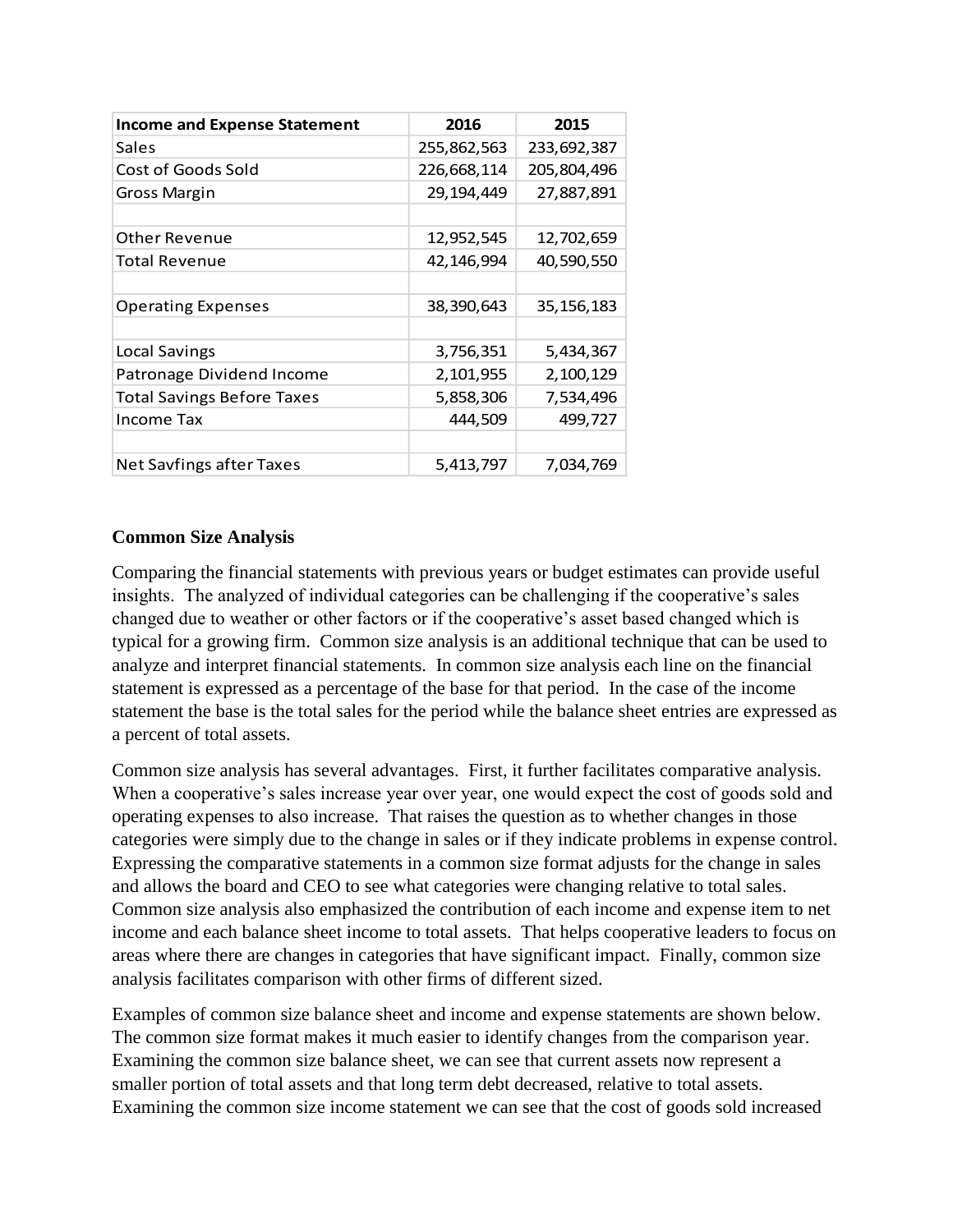| <b>Income and Expense Statement</b> | 2016        | 2015         |
|-------------------------------------|-------------|--------------|
| Sales                               | 255,862,563 | 233,692,387  |
| Cost of Goods Sold                  | 226,668,114 | 205,804,496  |
| <b>Gross Margin</b>                 | 29,194,449  | 27,887,891   |
|                                     |             |              |
| <b>Other Revenue</b>                | 12,952,545  | 12,702,659   |
| <b>Total Revenue</b>                | 42,146,994  | 40,590,550   |
|                                     |             |              |
| <b>Operating Expenses</b>           | 38,390,643  | 35, 156, 183 |
|                                     |             |              |
| Local Savings                       | 3,756,351   | 5,434,367    |
| Patronage Dividend Income           | 2,101,955   | 2,100,129    |
| <b>Total Savings Before Taxes</b>   | 5,858,306   | 7,534,496    |
| Income Tax                          | 444,509     | 499,727      |
|                                     |             |              |
| <b>Net Savfings after Taxes</b>     | 5,413,797   | 7,034,769    |

#### **Common Size Analysis**

Comparing the financial statements with previous years or budget estimates can provide useful insights. The analyzed of individual categories can be challenging if the cooperative's sales changed due to weather or other factors or if the cooperative's asset based changed which is typical for a growing firm. Common size analysis is an additional technique that can be used to analyze and interpret financial statements. In common size analysis each line on the financial statement is expressed as a percentage of the base for that period. In the case of the income statement the base is the total sales for the period while the balance sheet entries are expressed as a percent of total assets.

Common size analysis has several advantages. First, it further facilitates comparative analysis. When a cooperative's sales increase year over year, one would expect the cost of goods sold and operating expenses to also increase. That raises the question as to whether changes in those categories were simply due to the change in sales or if they indicate problems in expense control. Expressing the comparative statements in a common size format adjusts for the change in sales and allows the board and CEO to see what categories were changing relative to total sales. Common size analysis also emphasized the contribution of each income and expense item to net income and each balance sheet income to total assets. That helps cooperative leaders to focus on areas where there are changes in categories that have significant impact. Finally, common size analysis facilitates comparison with other firms of different sized.

Examples of common size balance sheet and income and expense statements are shown below. The common size format makes it much easier to identify changes from the comparison year. Examining the common size balance sheet, we can see that current assets now represent a smaller portion of total assets and that long term debt decreased, relative to total assets. Examining the common size income statement we can see that the cost of goods sold increased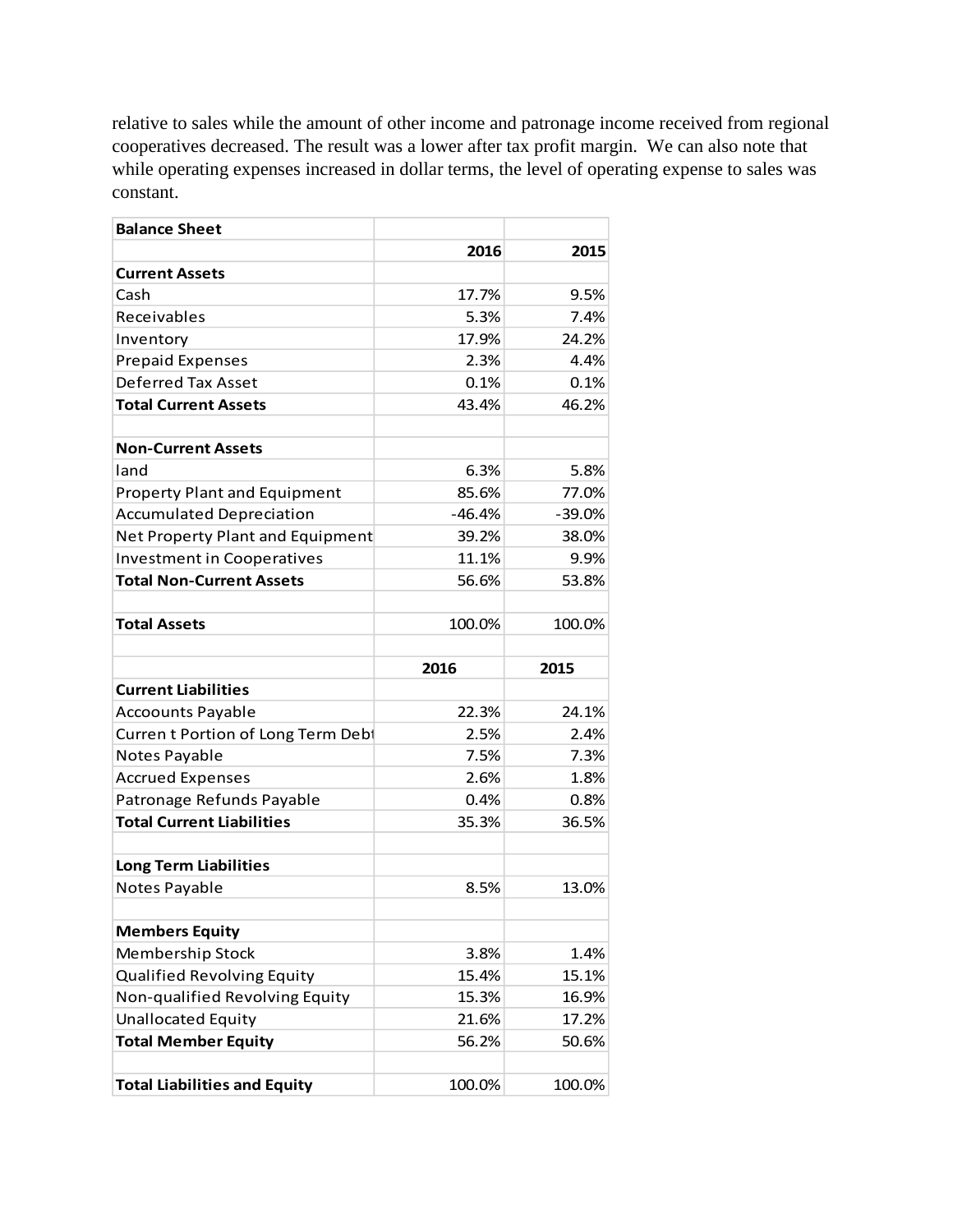relative to sales while the amount of other income and patronage income received from regional cooperatives decreased. The result was a lower after tax profit margin. We can also note that while operating expenses increased in dollar terms, the level of operating expense to sales was constant.

| <b>Balance Sheet</b>                |          |        |
|-------------------------------------|----------|--------|
|                                     | 2016     | 2015   |
| <b>Current Assets</b>               |          |        |
| Cash                                | 17.7%    | 9.5%   |
| Receivables                         | 5.3%     | 7.4%   |
| Inventory                           | 17.9%    | 24.2%  |
| <b>Prepaid Expenses</b>             | 2.3%     | 4.4%   |
| Deferred Tax Asset                  | 0.1%     | 0.1%   |
| <b>Total Current Assets</b>         | 43.4%    | 46.2%  |
|                                     |          |        |
| <b>Non-Current Assets</b>           |          |        |
| land                                | 6.3%     | 5.8%   |
| <b>Property Plant and Equipment</b> | 85.6%    | 77.0%  |
| <b>Accumulated Depreciation</b>     | $-46.4%$ | -39.0% |
| Net Property Plant and Equipment    | 39.2%    | 38.0%  |
| <b>Investment in Cooperatives</b>   | 11.1%    | 9.9%   |
| <b>Total Non-Current Assets</b>     | 56.6%    | 53.8%  |
|                                     |          |        |
| <b>Total Assets</b>                 | 100.0%   | 100.0% |
|                                     |          |        |
|                                     | 2016     | 2015   |
| <b>Current Liabilities</b>          |          |        |
| <b>Accoounts Payable</b>            | 22.3%    | 24.1%  |
| Curren t Portion of Long Term Debt  | 2.5%     | 2.4%   |
| Notes Payable                       | 7.5%     | 7.3%   |
|                                     |          |        |
| <b>Accrued Expenses</b>             | 2.6%     | 1.8%   |
| Patronage Refunds Payable           | 0.4%     | 0.8%   |
| <b>Total Current Liabilities</b>    | 35.3%    | 36.5%  |
|                                     |          |        |
| <b>Long Term Liabilities</b>        |          |        |
| Notes Payable                       | 8.5%     | 13.0%  |
|                                     |          |        |
| <b>Members Equity</b>               |          |        |
| Membership Stock                    | 3.8%     | 1.4%   |
| <b>Qualified Revolving Equity</b>   | 15.4%    | 15.1%  |
| Non-qualified Revolving Equity      | 15.3%    | 16.9%  |
| <b>Unallocated Equity</b>           | 21.6%    | 17.2%  |
| <b>Total Member Equity</b>          | 56.2%    | 50.6%  |
| <b>Total Liabilities and Equity</b> | 100.0%   | 100.0% |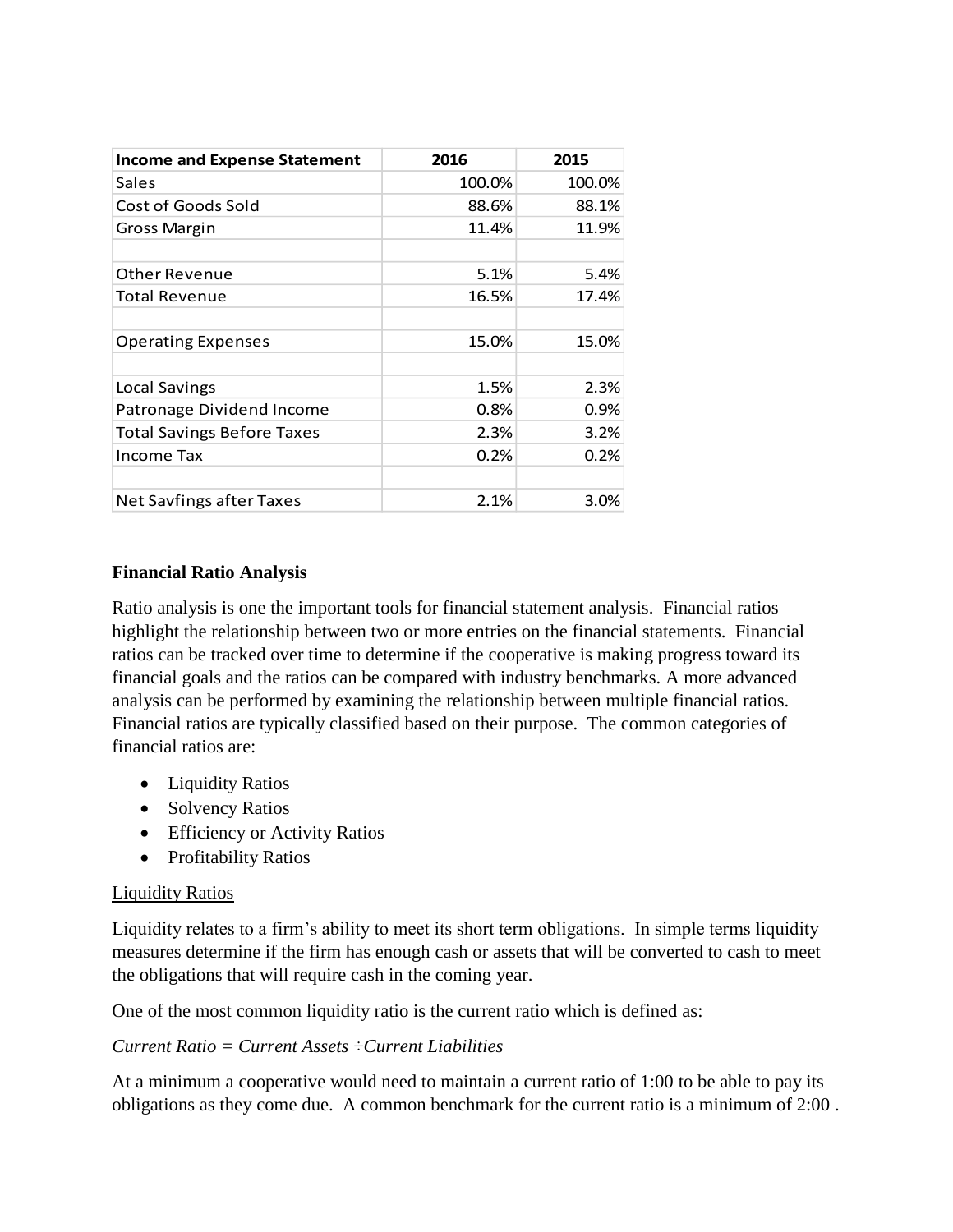| <b>Income and Expense Statement</b> | 2016   | 2015   |
|-------------------------------------|--------|--------|
| Sales                               | 100.0% | 100.0% |
| Cost of Goods Sold                  | 88.6%  | 88.1%  |
| <b>Gross Margin</b>                 | 11.4%  | 11.9%  |
| <b>Other Revenue</b>                | 5.1%   | 5.4%   |
| <b>Total Revenue</b>                | 16.5%  | 17.4%  |
| <b>Operating Expenses</b>           | 15.0%  | 15.0%  |
| Local Savings                       | 1.5%   | 2.3%   |
| Patronage Dividend Income           | 0.8%   | 0.9%   |
| <b>Total Savings Before Taxes</b>   | 2.3%   | 3.2%   |
| <b>Income Tax</b>                   | 0.2%   | 0.2%   |
| Net Savfings after Taxes            | 2.1%   | 3.0%   |

## **Financial Ratio Analysis**

Ratio analysis is one the important tools for financial statement analysis. Financial ratios highlight the relationship between two or more entries on the financial statements. Financial ratios can be tracked over time to determine if the cooperative is making progress toward its financial goals and the ratios can be compared with industry benchmarks. A more advanced analysis can be performed by examining the relationship between multiple financial ratios. Financial ratios are typically classified based on their purpose. The common categories of financial ratios are:

- Liquidity Ratios
- Solvency Ratios
- Efficiency or Activity Ratios
- Profitability Ratios

# Liquidity Ratios

Liquidity relates to a firm's ability to meet its short term obligations. In simple terms liquidity measures determine if the firm has enough cash or assets that will be converted to cash to meet the obligations that will require cash in the coming year.

One of the most common liquidity ratio is the current ratio which is defined as:

## *Current Ratio = Current Assets ÷Current Liabilities*

At a minimum a cooperative would need to maintain a current ratio of 1:00 to be able to pay its obligations as they come due. A common benchmark for the current ratio is a minimum of 2:00 .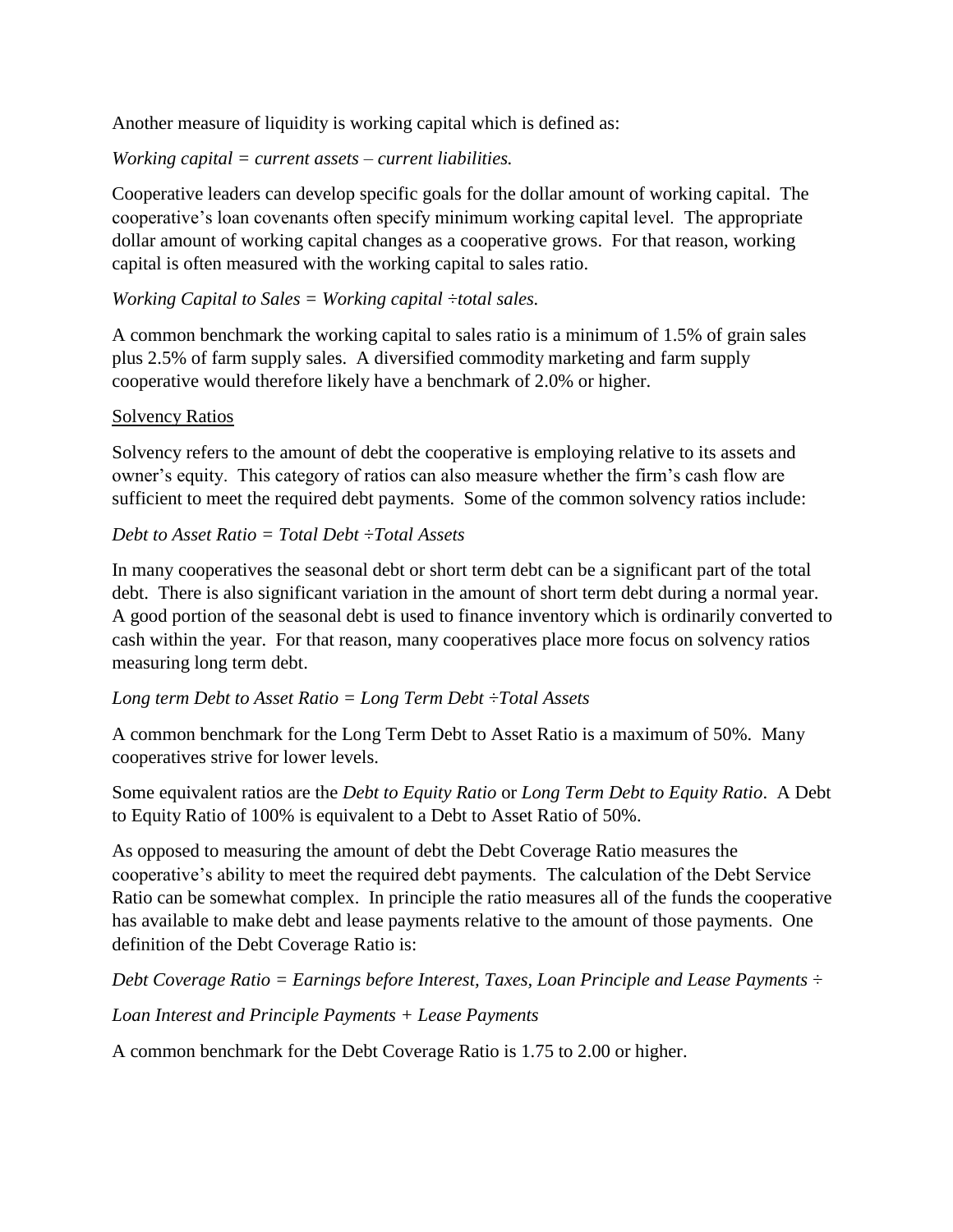Another measure of liquidity is working capital which is defined as:

*Working capital = current assets – current liabilities.*

Cooperative leaders can develop specific goals for the dollar amount of working capital. The cooperative's loan covenants often specify minimum working capital level. The appropriate dollar amount of working capital changes as a cooperative grows. For that reason, working capital is often measured with the working capital to sales ratio.

# *Working Capital to Sales = Working capital ÷total sales.*

A common benchmark the working capital to sales ratio is a minimum of 1.5% of grain sales plus 2.5% of farm supply sales. A diversified commodity marketing and farm supply cooperative would therefore likely have a benchmark of 2.0% or higher.

## Solvency Ratios

Solvency refers to the amount of debt the cooperative is employing relative to its assets and owner's equity. This category of ratios can also measure whether the firm's cash flow are sufficient to meet the required debt payments. Some of the common solvency ratios include:

# *Debt to Asset Ratio = Total Debt ÷Total Assets*

In many cooperatives the seasonal debt or short term debt can be a significant part of the total debt. There is also significant variation in the amount of short term debt during a normal year. A good portion of the seasonal debt is used to finance inventory which is ordinarily converted to cash within the year. For that reason, many cooperatives place more focus on solvency ratios measuring long term debt.

## *Long term Debt to Asset Ratio = Long Term Debt ÷Total Assets*

A common benchmark for the Long Term Debt to Asset Ratio is a maximum of 50%. Many cooperatives strive for lower levels.

Some equivalent ratios are the *Debt to Equity Ratio* or *Long Term Debt to Equity Ratio*. A Debt to Equity Ratio of 100% is equivalent to a Debt to Asset Ratio of 50%.

As opposed to measuring the amount of debt the Debt Coverage Ratio measures the cooperative's ability to meet the required debt payments. The calculation of the Debt Service Ratio can be somewhat complex. In principle the ratio measures all of the funds the cooperative has available to make debt and lease payments relative to the amount of those payments. One definition of the Debt Coverage Ratio is:

*Debt Coverage Ratio = Earnings before Interest, Taxes, Loan Principle and Lease Payments ÷ Loan Interest and Principle Payments + Lease Payments*

A common benchmark for the Debt Coverage Ratio is 1.75 to 2.00 or higher.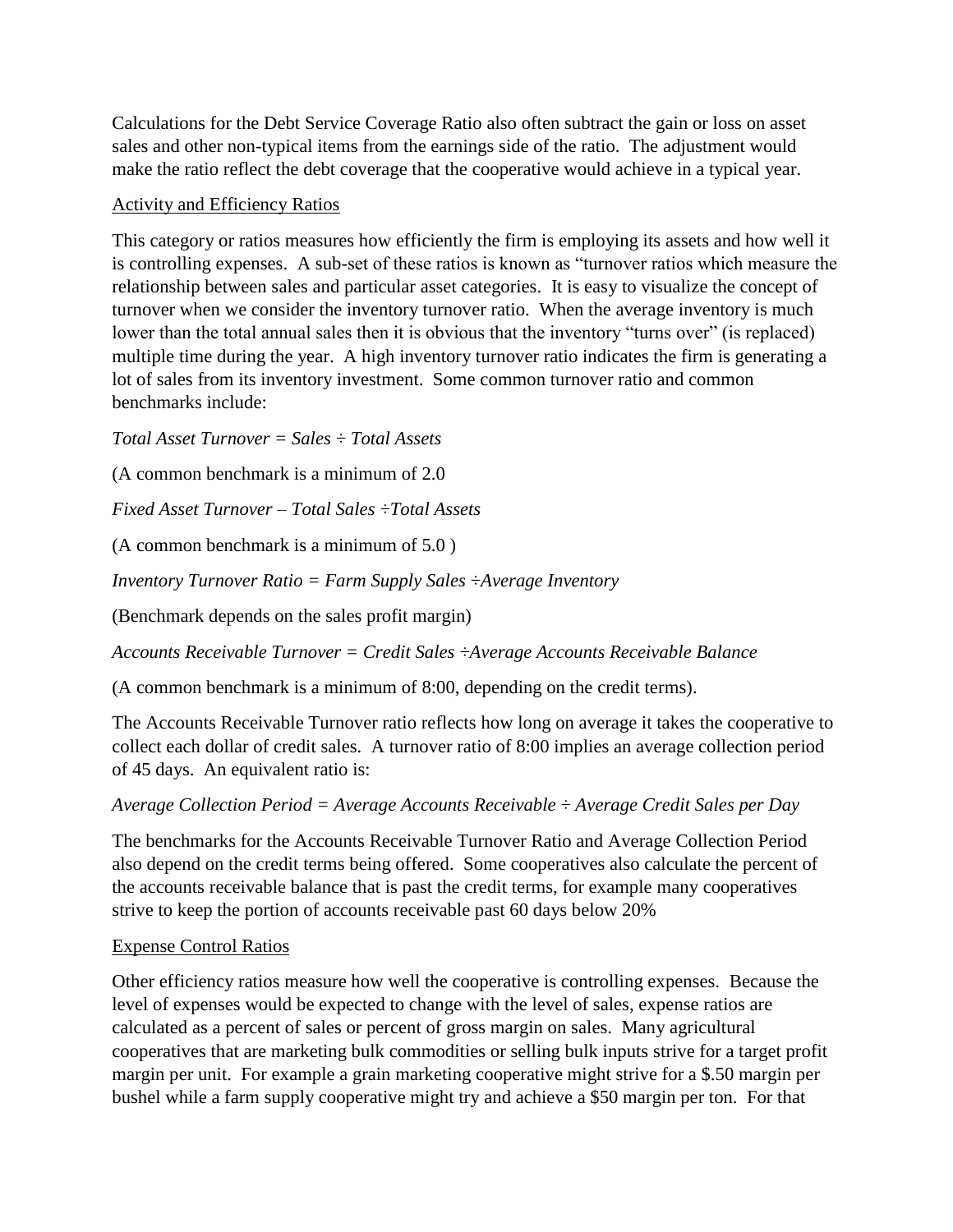Calculations for the Debt Service Coverage Ratio also often subtract the gain or loss on asset sales and other non-typical items from the earnings side of the ratio. The adjustment would make the ratio reflect the debt coverage that the cooperative would achieve in a typical year.

#### Activity and Efficiency Ratios

This category or ratios measures how efficiently the firm is employing its assets and how well it is controlling expenses. A sub-set of these ratios is known as "turnover ratios which measure the relationship between sales and particular asset categories. It is easy to visualize the concept of turnover when we consider the inventory turnover ratio. When the average inventory is much lower than the total annual sales then it is obvious that the inventory "turns over" (is replaced) multiple time during the year. A high inventory turnover ratio indicates the firm is generating a lot of sales from its inventory investment. Some common turnover ratio and common benchmarks include:

*Total Asset Turnover = Sales ÷ Total Assets*

(A common benchmark is a minimum of 2.0

*Fixed Asset Turnover – Total Sales ÷Total Assets*

(A common benchmark is a minimum of 5.0 )

*Inventory Turnover Ratio = Farm Supply Sales ÷Average Inventory*

(Benchmark depends on the sales profit margin)

*Accounts Receivable Turnover = Credit Sales ÷Average Accounts Receivable Balance*

(A common benchmark is a minimum of 8:00, depending on the credit terms).

The Accounts Receivable Turnover ratio reflects how long on average it takes the cooperative to collect each dollar of credit sales. A turnover ratio of 8:00 implies an average collection period of 45 days. An equivalent ratio is:

#### *Average Collection Period = Average Accounts Receivable ÷ Average Credit Sales per Day*

The benchmarks for the Accounts Receivable Turnover Ratio and Average Collection Period also depend on the credit terms being offered. Some cooperatives also calculate the percent of the accounts receivable balance that is past the credit terms, for example many cooperatives strive to keep the portion of accounts receivable past 60 days below 20%

## Expense Control Ratios

Other efficiency ratios measure how well the cooperative is controlling expenses. Because the level of expenses would be expected to change with the level of sales, expense ratios are calculated as a percent of sales or percent of gross margin on sales. Many agricultural cooperatives that are marketing bulk commodities or selling bulk inputs strive for a target profit margin per unit. For example a grain marketing cooperative might strive for a \$.50 margin per bushel while a farm supply cooperative might try and achieve a \$50 margin per ton. For that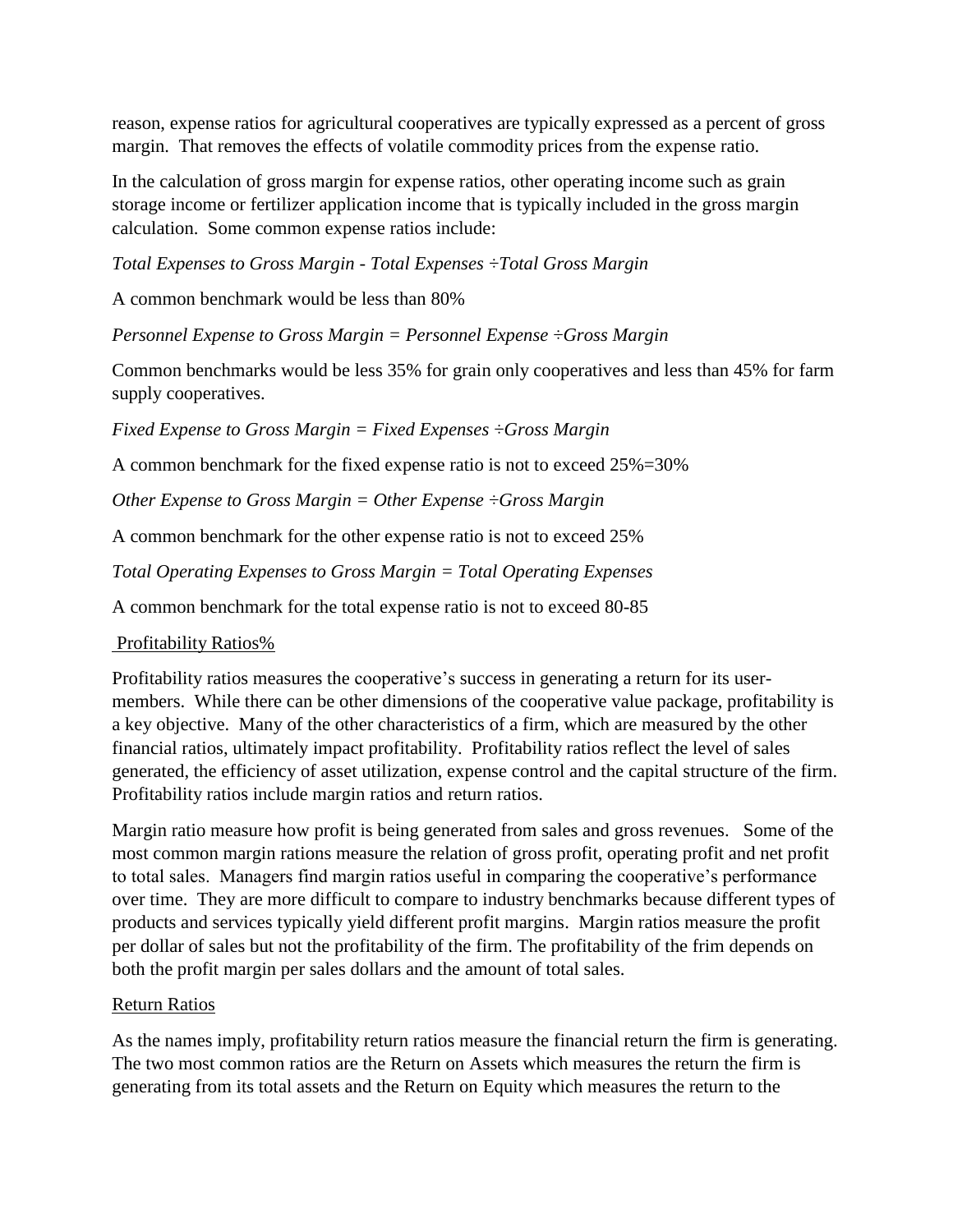reason, expense ratios for agricultural cooperatives are typically expressed as a percent of gross margin. That removes the effects of volatile commodity prices from the expense ratio.

In the calculation of gross margin for expense ratios, other operating income such as grain storage income or fertilizer application income that is typically included in the gross margin calculation. Some common expense ratios include:

*Total Expenses to Gross Margin - Total Expenses ÷Total Gross Margin*

A common benchmark would be less than 80%

*Personnel Expense to Gross Margin = Personnel Expense ÷Gross Margin* 

Common benchmarks would be less 35% for grain only cooperatives and less than 45% for farm supply cooperatives.

*Fixed Expense to Gross Margin = Fixed Expenses ÷Gross Margin*

A common benchmark for the fixed expense ratio is not to exceed 25%=30%

*Other Expense to Gross Margin = Other Expense ÷Gross Margin* 

A common benchmark for the other expense ratio is not to exceed 25%

*Total Operating Expenses to Gross Margin = Total Operating Expenses*

A common benchmark for the total expense ratio is not to exceed 80-85

Profitability Ratios%

Profitability ratios measures the cooperative's success in generating a return for its usermembers. While there can be other dimensions of the cooperative value package, profitability is a key objective. Many of the other characteristics of a firm, which are measured by the other financial ratios, ultimately impact profitability. Profitability ratios reflect the level of sales generated, the efficiency of asset utilization, expense control and the capital structure of the firm. Profitability ratios include margin ratios and return ratios.

Margin ratio measure how profit is being generated from sales and gross revenues. Some of the most common margin rations measure the relation of gross profit, operating profit and net profit to total sales. Managers find margin ratios useful in comparing the cooperative's performance over time. They are more difficult to compare to industry benchmarks because different types of products and services typically yield different profit margins. Margin ratios measure the profit per dollar of sales but not the profitability of the firm. The profitability of the frim depends on both the profit margin per sales dollars and the amount of total sales.

# Return Ratios

As the names imply, profitability return ratios measure the financial return the firm is generating. The two most common ratios are the Return on Assets which measures the return the firm is generating from its total assets and the Return on Equity which measures the return to the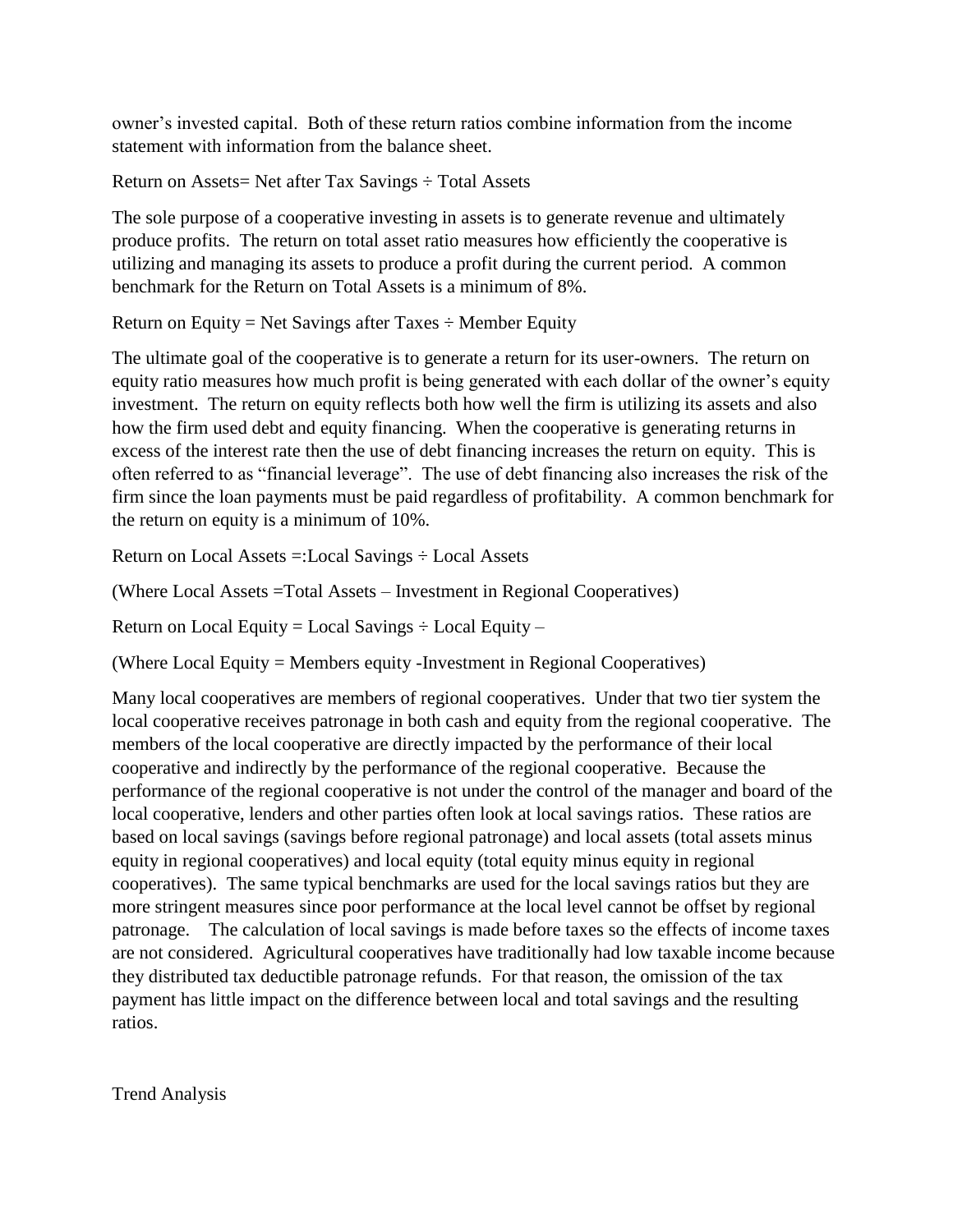owner's invested capital. Both of these return ratios combine information from the income statement with information from the balance sheet.

Return on Assets= Net after Tax Savings ÷ Total Assets

The sole purpose of a cooperative investing in assets is to generate revenue and ultimately produce profits. The return on total asset ratio measures how efficiently the cooperative is utilizing and managing its assets to produce a profit during the current period. A common benchmark for the Return on Total Assets is a minimum of 8%.

Return on Equity = Net Savings after Taxes  $\div$  Member Equity

The ultimate goal of the cooperative is to generate a return for its user-owners. The return on equity ratio measures how much profit is being generated with each dollar of the owner's equity investment. The return on equity reflects both how well the firm is utilizing its assets and also how the firm used debt and equity financing. When the cooperative is generating returns in excess of the interest rate then the use of debt financing increases the return on equity. This is often referred to as "financial leverage". The use of debt financing also increases the risk of the firm since the loan payments must be paid regardless of profitability. A common benchmark for the return on equity is a minimum of 10%.

Return on Local Assets =:Local Savings ÷ Local Assets

(Where Local Assets =Total Assets – Investment in Regional Cooperatives)

Return on Local Equity = Local Savings  $\div$  Local Equity –

(Where Local Equity = Members equity -Investment in Regional Cooperatives)

Many local cooperatives are members of regional cooperatives. Under that two tier system the local cooperative receives patronage in both cash and equity from the regional cooperative. The members of the local cooperative are directly impacted by the performance of their local cooperative and indirectly by the performance of the regional cooperative. Because the performance of the regional cooperative is not under the control of the manager and board of the local cooperative, lenders and other parties often look at local savings ratios. These ratios are based on local savings (savings before regional patronage) and local assets (total assets minus equity in regional cooperatives) and local equity (total equity minus equity in regional cooperatives). The same typical benchmarks are used for the local savings ratios but they are more stringent measures since poor performance at the local level cannot be offset by regional patronage. The calculation of local savings is made before taxes so the effects of income taxes are not considered. Agricultural cooperatives have traditionally had low taxable income because they distributed tax deductible patronage refunds. For that reason, the omission of the tax payment has little impact on the difference between local and total savings and the resulting ratios.

Trend Analysis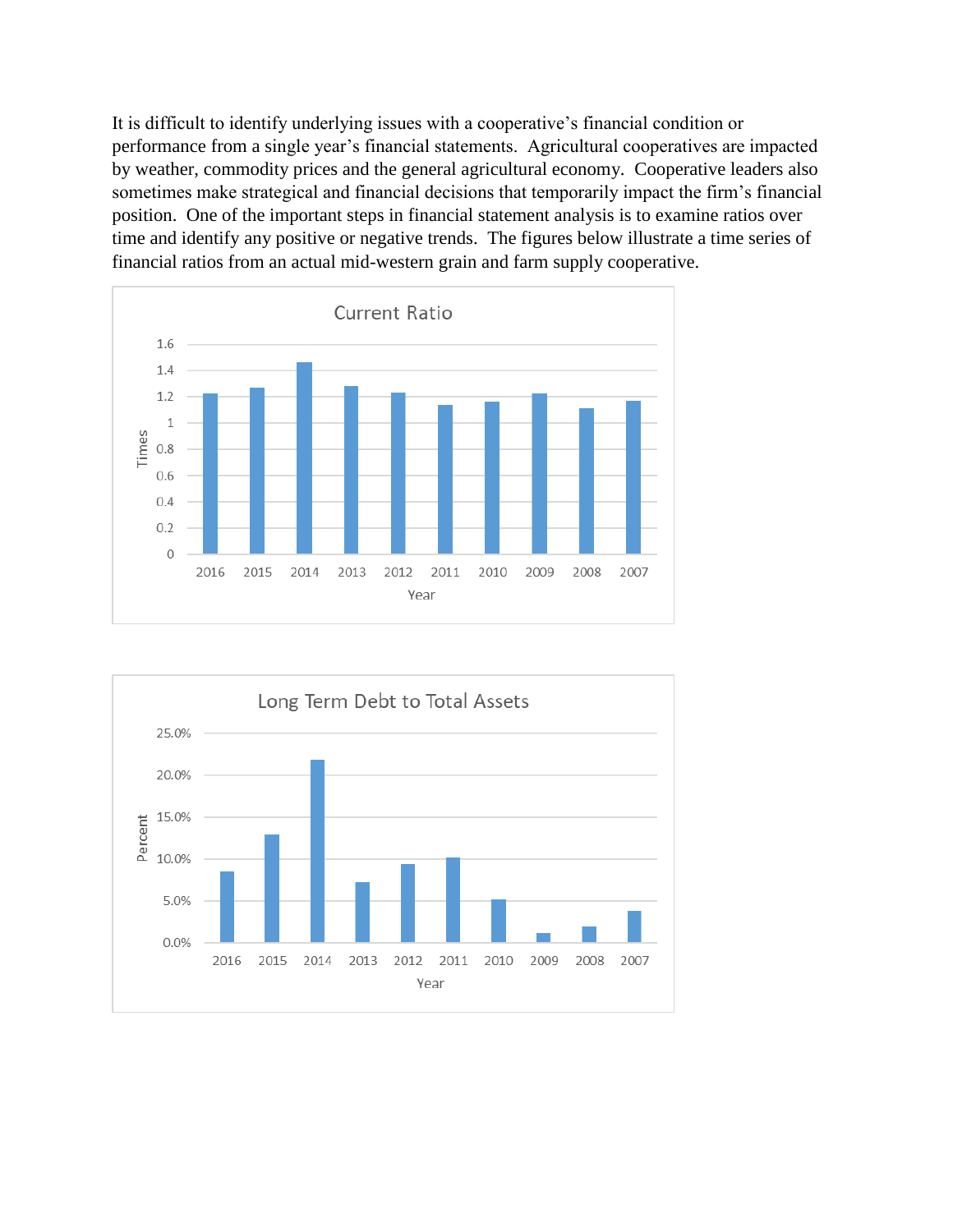It is difficult to identify underlying issues with a cooperative's financial condition or performance from a single year's financial statements. Agricultural cooperatives are impacted by weather, commodity prices and the general agricultural economy. Cooperative leaders also sometimes make strategical and financial decisions that temporarily impact the firm's financial position. One of the important steps in financial statement analysis is to examine ratios over time and identify any positive or negative trends. The figures below illustrate a time series of financial ratios from an actual mid-western grain and farm supply cooperative.



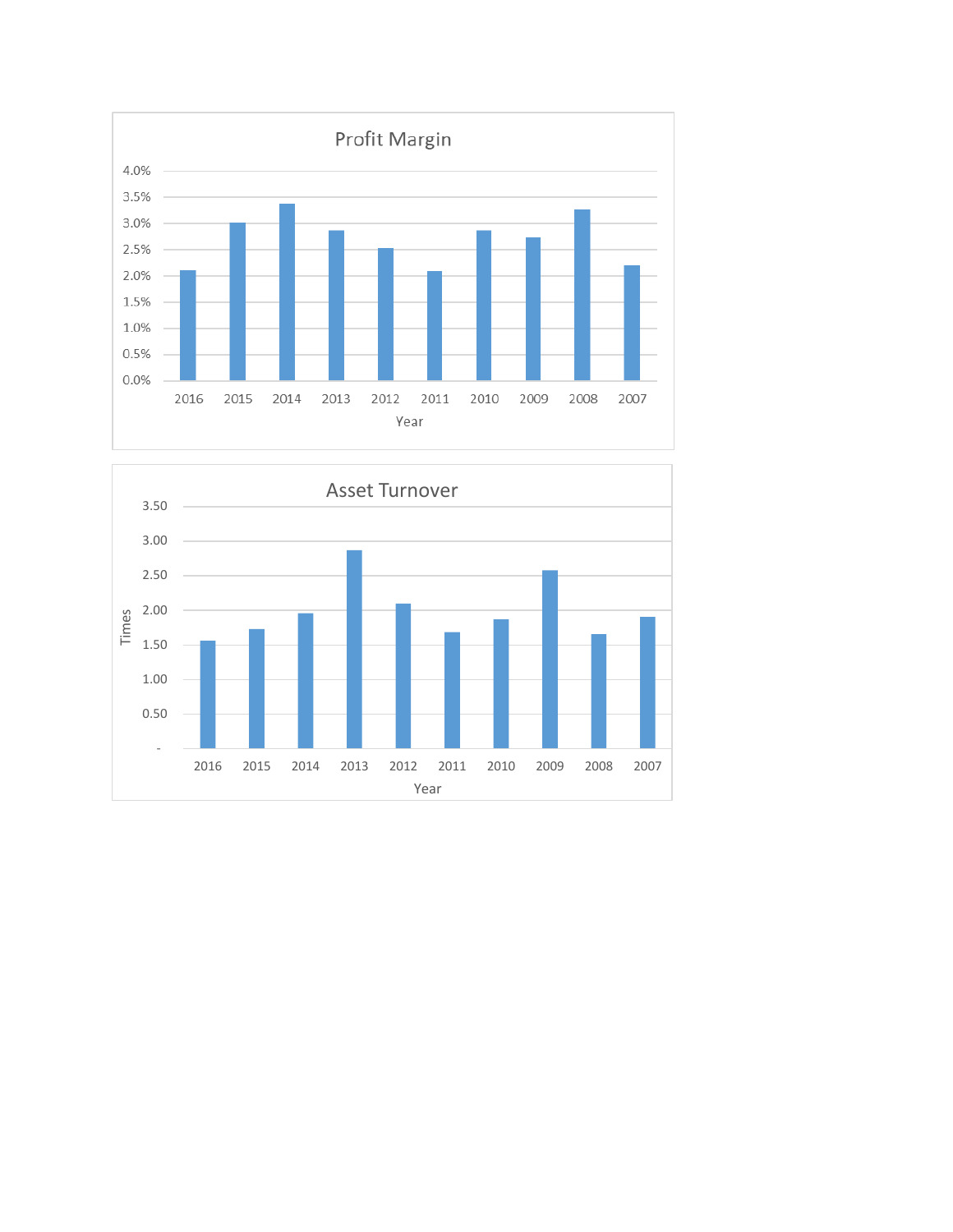